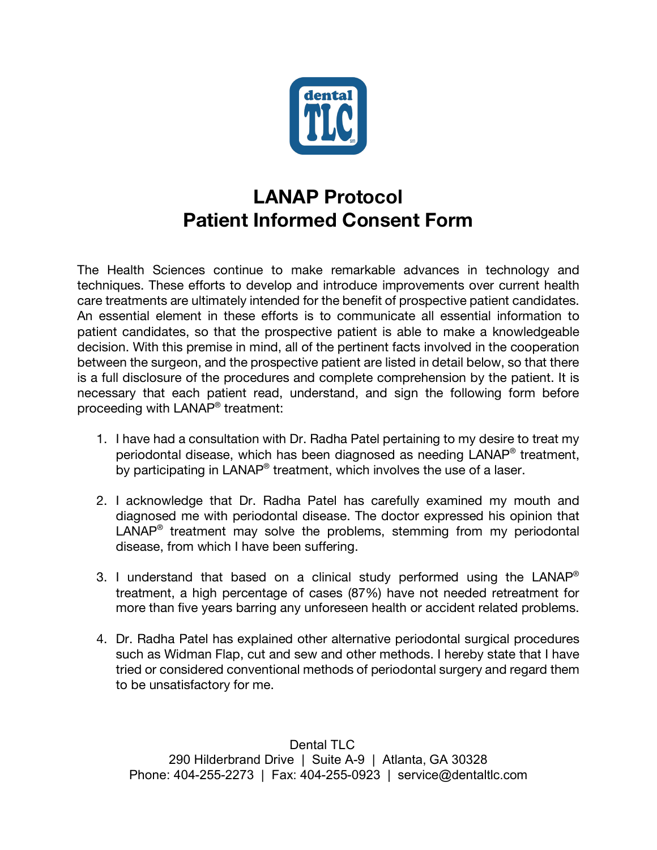

## **LANAP Protocol Patient Informed Consent Form**

The Health Sciences continue to make remarkable advances in technology and techniques. These efforts to develop and introduce improvements over current health care treatments are ultimately intended for the benefit of prospective patient candidates. An essential element in these efforts is to communicate all essential information to patient candidates, so that the prospective patient is able to make a knowledgeable decision. With this premise in mind, all of the pertinent facts involved in the cooperation between the surgeon, and the prospective patient are listed in detail below, so that there is a full disclosure of the procedures and complete comprehension by the patient. It is necessary that each patient read, understand, and sign the following form before proceeding with LANAP® treatment:

- 1. I have had a consultation with Dr. Radha Patel pertaining to my desire to treat my periodontal disease, which has been diagnosed as needing LANAP® treatment, by participating in LANAP<sup>®</sup> treatment, which involves the use of a laser.
- 2. I acknowledge that Dr. Radha Patel has carefully examined my mouth and diagnosed me with periodontal disease. The doctor expressed his opinion that  $LAND<sup>®</sup>$  treatment may solve the problems, stemming from my periodontal disease, from which I have been suffering.
- 3. I understand that based on a clinical study performed using the  $LAND^{\circledast}$ treatment, a high percentage of cases (87%) have not needed retreatment for more than five years barring any unforeseen health or accident related problems.
- 4. Dr. Radha Patel has explained other alternative periodontal surgical procedures such as Widman Flap, cut and sew and other methods. I hereby state that I have tried or considered conventional methods of periodontal surgery and regard them to be unsatisfactory for me.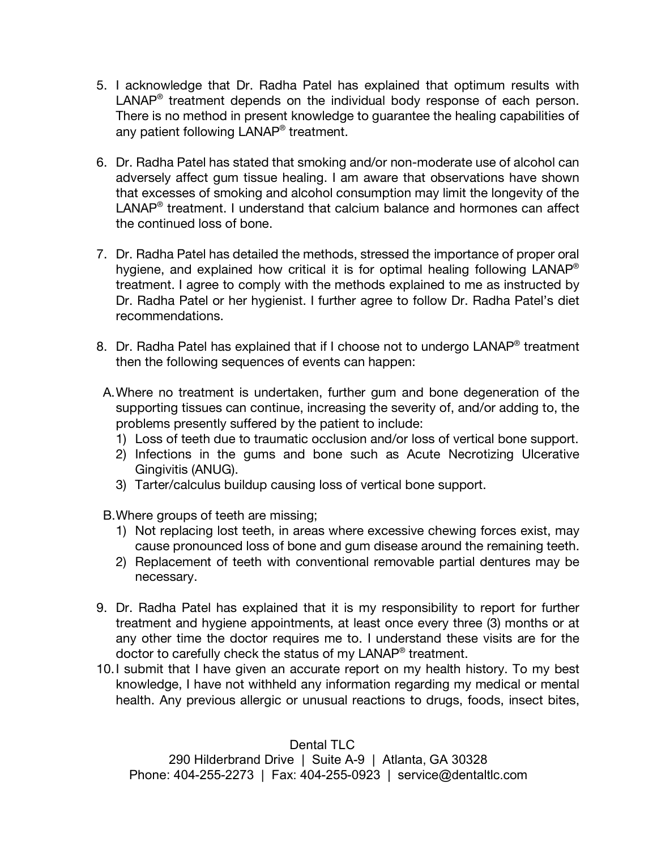- 5. I acknowledge that Dr. Radha Patel has explained that optimum results with LANAP® treatment depends on the individual body response of each person. There is no method in present knowledge to guarantee the healing capabilities of any patient following LANAP<sup>®</sup> treatment.
- 6. Dr. Radha Patel has stated that smoking and/or non-moderate use of alcohol can adversely affect gum tissue healing. I am aware that observations have shown that excesses of smoking and alcohol consumption may limit the longevity of the LANAP<sup>®</sup> treatment. I understand that calcium balance and hormones can affect the continued loss of bone.
- 7. Dr. Radha Patel has detailed the methods, stressed the importance of proper oral hygiene, and explained how critical it is for optimal healing following LANAP® treatment. I agree to comply with the methods explained to me as instructed by Dr. Radha Patel or her hygienist. I further agree to follow Dr. Radha Patel's diet recommendations.
- 8. Dr. Radha Patel has explained that if I choose not to undergo LANAP® treatment then the following sequences of events can happen:
- A.Where no treatment is undertaken, further gum and bone degeneration of the supporting tissues can continue, increasing the severity of, and/or adding to, the problems presently suffered by the patient to include:
	- 1) Loss of teeth due to traumatic occlusion and/or loss of vertical bone support.
	- 2) Infections in the gums and bone such as Acute Necrotizing Ulcerative Gingivitis (ANUG).
	- 3) Tarter/calculus buildup causing loss of vertical bone support.

B.Where groups of teeth are missing;

- 1) Not replacing lost teeth, in areas where excessive chewing forces exist, may cause pronounced loss of bone and gum disease around the remaining teeth.
- 2) Replacement of teeth with conventional removable partial dentures may be necessary.
- 9. Dr. Radha Patel has explained that it is my responsibility to report for further treatment and hygiene appointments, at least once every three (3) months or at any other time the doctor requires me to. I understand these visits are for the doctor to carefully check the status of my LANAP<sup>®</sup> treatment.
- 10.I submit that I have given an accurate report on my health history. To my best knowledge, I have not withheld any information regarding my medical or mental health. Any previous allergic or unusual reactions to drugs, foods, insect bites,

Dental TLC 290 Hilderbrand Drive | Suite A-9 | Atlanta, GA 30328 Phone: 404-255-2273 | Fax: 404-255-0923 | service@dentaltlc.com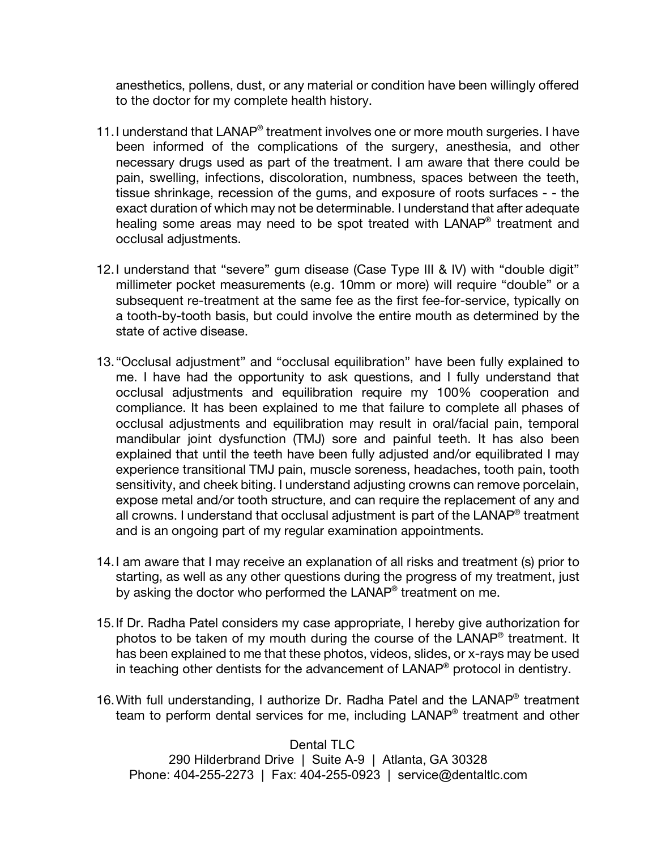anesthetics, pollens, dust, or any material or condition have been willingly offered to the doctor for my complete health history.

- 11. I understand that LANAP® treatment involves one or more mouth surgeries. I have been informed of the complications of the surgery, anesthesia, and other necessary drugs used as part of the treatment. I am aware that there could be pain, swelling, infections, discoloration, numbness, spaces between the teeth, tissue shrinkage, recession of the gums, and exposure of roots surfaces - - the exact duration of which may not be determinable. I understand that after adequate healing some areas may need to be spot treated with LANAP® treatment and occlusal adjustments.
- 12.I understand that "severe" gum disease (Case Type III & IV) with "double digit" millimeter pocket measurements (e.g. 10mm or more) will require "double" or a subsequent re-treatment at the same fee as the first fee-for-service, typically on a tooth-by-tooth basis, but could involve the entire mouth as determined by the state of active disease.
- 13."Occlusal adjustment" and "occlusal equilibration" have been fully explained to me. I have had the opportunity to ask questions, and I fully understand that occlusal adjustments and equilibration require my 100% cooperation and compliance. It has been explained to me that failure to complete all phases of occlusal adjustments and equilibration may result in oral/facial pain, temporal mandibular joint dysfunction (TMJ) sore and painful teeth. It has also been explained that until the teeth have been fully adjusted and/or equilibrated I may experience transitional TMJ pain, muscle soreness, headaches, tooth pain, tooth sensitivity, and cheek biting. I understand adjusting crowns can remove porcelain, expose metal and/or tooth structure, and can require the replacement of any and all crowns. I understand that occlusal adjustment is part of the LANAP<sup>®</sup> treatment and is an ongoing part of my regular examination appointments.
- 14.I am aware that I may receive an explanation of all risks and treatment (s) prior to starting, as well as any other questions during the progress of my treatment, just by asking the doctor who performed the LANAP<sup>®</sup> treatment on me.
- 15.If Dr. Radha Patel considers my case appropriate, I hereby give authorization for photos to be taken of my mouth during the course of the LANAP® treatment. It has been explained to me that these photos, videos, slides, or x-rays may be used in teaching other dentists for the advancement of  $\mathsf{LANAP}^{\otimes}$  protocol in dentistry.
- 16.With full understanding, I authorize Dr. Radha Patel and the LANAP® treatment team to perform dental services for me, including LANAP® treatment and other

Dental TLC 290 Hilderbrand Drive | Suite A-9 | Atlanta, GA 30328 Phone: 404-255-2273 | Fax: 404-255-0923 | service@dentaltlc.com